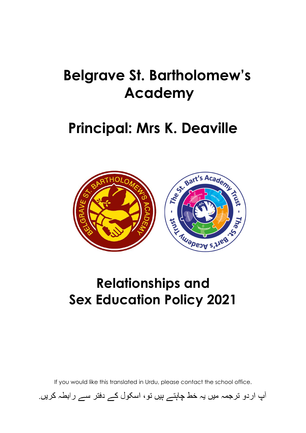# **Belgrave St. Bartholomew's Academy**

# **Principal: Mrs K. Deaville**



# **Relationships and Sex Education Policy 2021**

If you would like this translated in Urdu, please contact the school office.

آپ اردو ترجمہ میں یہ خط چاہتے ہیں تو ، اسکول کے دفتر سے رابطہ کریں۔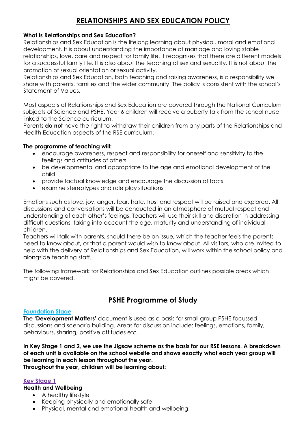# **RELATIONSHIPS AND SEX EDUCATION POLICY**

## **What is Relationships and Sex Education?**

Relationships and Sex Education is the lifelong learning about physical, moral and emotional development. It is about understanding the importance of marriage and loving stable relationships, love, care and respect for family life. It recognises that there are different models for a successful family life. It is also about the teaching of sex and sexuality. It is not about the promotion of sexual orientation or sexual activity.

Relationships and Sex Education, both teaching and raising awareness, is a responsibility we share with parents, families and the wider community. The policy is consistent with the school's Statement of Values.

Most aspects of Relationships and Sex Education are covered through the National Curriculum subjects of Science and PSHE. Year 6 children will receive a puberty talk from the school nurse linked to the Science curriculum.

Parents **do not** have the right to withdraw their children from any parts of the Relationships and Health Education aspects of the RSE curriculum.

## **The programme of teaching will:**

- encourage awareness, respect and responsibility for oneself and sensitivity to the feelings and attitudes of others
- be developmental and appropriate to the age and emotional development of the child
- provide factual knowledge and encourage the discussion of facts
- examine stereotypes and role play situations

Emotions such as love, joy, anger, fear, hate, trust and respect will be raised and explored. All discussions and conversations will be conducted in an atmosphere of mutual respect and understanding of each other's feelings. Teachers will use their skill and discretion in addressing difficult questions, taking into account the age, maturity and understanding of individual children.

Teachers will talk with parents, should there be an issue, which the teacher feels the parents need to know about, or that a parent would wish to know about. All visitors, who are invited to help with the delivery of Relationships and Sex Education, will work within the school policy and alongside teaching staff.

The following framework for Relationships and Sex Education outlines possible areas which might be covered.

# **PSHE Programme of Study**

## **Foundation Stage**

The **'Development Matters'** document is used as a basis for small group PSHE focussed discussions and scenario building. Areas for discussion include: feelings, emotions, family, behaviours, sharing, positive attitudes etc.

**In Key Stage 1 and 2, we use the Jigsaw scheme as the basis for our RSE lessons. A breakdown of each unit is available on the school website and shows exactly what each year group will be learning in each lesson throughout the year. Throughout the year, children will be learning about:**

## **Key Stage 1**

## **Health and Wellbeing**

- A healthy lifestyle
- Keeping physically and emotionally safe
- Physical, mental and emotional health and wellbeing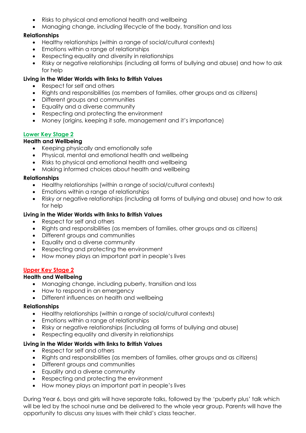- Risks to physical and emotional health and wellbeing
- Managing change, including lifecycle of the body, transition and loss

# **Relationships**

- Healthy relationships (within a range of social/cultural contexts)
- Emotions within a range of relationships
- Respecting equality and diversity in relationships
- Risky or negative relationships (including all forms of bullying and abuse) and how to ask for help

# **Living in the Wider Worlds with links to British Values**

- Respect for self and others
- Rights and responsibilities (as members of families, other groups and as citizens)
- Different groups and communities
- Equality and a diverse community
- Respecting and protecting the environment
- Money (origins, keeping it safe, management and it's importance)

# **Lower Key Stage 2**

# **Health and Wellbeing**

- Keeping physically and emotionally safe
- Physical, mental and emotional health and wellbeing
- Risks to physical and emotional health and wellbeing
- Making informed choices about health and wellbeing

## **Relationships**

- Healthy relationships (within a range of social/cultural contexts)
- Emotions within a range of relationships
- Risky or negative relationships (including all forms of bullying and abuse) and how to ask for help

# **Living in the Wider Worlds with links to British Values**

- Respect for self and others
- Rights and responsibilities (as members of families, other groups and as citizens)
- Different groups and communities
- Equality and a diverse community
- Respecting and protecting the environment
- How money plays an important part in people's lives

# **Upper Key Stage 2**

## **Health and Wellbeing**

- Managing change, including puberty, transition and loss
- How to respond in an emergency
- Different influences on health and wellbeing

## **Relationships**

- Healthy relationships (within a range of social/cultural contexts)
- Emotions within a range of relationships
- Risky or negative relationships (including all forms of bullying and abuse)
- Respecting equality and diversity in relationships

# **Living in the Wider Worlds with links to British Values**

- Respect for self and others
- Rights and responsibilities (as members of families, other groups and as citizens)
- Different groups and communities
- Equality and a diverse community
- Respecting and protecting the environment
- How money plays an important part in people's lives

During Year 6, boys and girls will have separate talks, followed by the 'puberty plus' talk which will be led by the school nurse and be delivered to the whole year group. Parents will have the opportunity to discuss any issues with their child's class teacher.